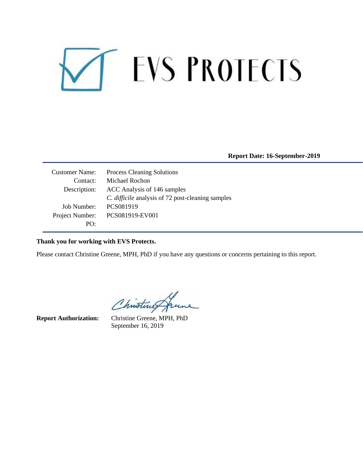# **EVS PROTECTS**  $\mathbf{L}$

**Report Date: 16-September-2019**

Customer Name: Process Cleaning Solutions Contact: Michael Rochon Description: ACC Analysis of 146 samples *C. difficile* analysis of 72 post-cleaning samples Job Number: PCS081919 Project Number: PCS081919-EV001 PO:

#### **Thank you for working with EVS Protects.**

Please contact Christine Greene, MPH, PhD if you have any questions or concerns pertaining to this report.

Christines

**Report Authorization:** Christine Greene, MPH, PhD September 16, 2019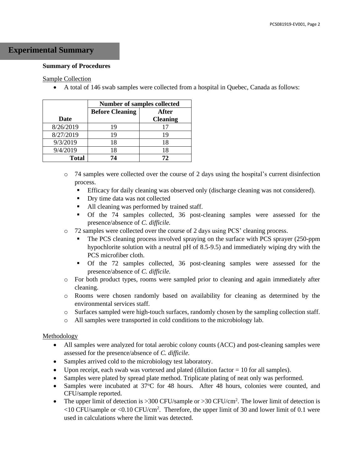### **Experimental Summary**

#### **Summary of Procedures**

#### Sample Collection

• A total of 146 swab samples were collected from a hospital in Quebec, Canada as follows:

|              | <b>Number of samples collected</b> |                 |  |  |  |
|--------------|------------------------------------|-----------------|--|--|--|
|              | <b>Before Cleaning</b><br>After    |                 |  |  |  |
| Date         |                                    | <b>Cleaning</b> |  |  |  |
| 8/26/2019    | 19                                 | 17              |  |  |  |
| 8/27/2019    | 19                                 | 19              |  |  |  |
| 9/3/2019     | 18                                 | 18              |  |  |  |
| 9/4/2019     | 18                                 | 18              |  |  |  |
| <b>Total</b> | 74                                 | 72              |  |  |  |

- $\circ$  74 samples were collected over the course of 2 days using the hospital's current disinfection process.
	- **•** Efficacy for daily cleaning was observed only (discharge cleaning was not considered).
	- Dry time data was not collected
	- All cleaning was performed by trained staff.
	- Of the 74 samples collected, 36 post-cleaning samples were assessed for the presence/absence of *C. difficile.*
- o 72 samples were collected over the course of 2 days using PCS' cleaning process.
	- The PCS cleaning process involved spraying on the surface with PCS sprayer (250-ppm hypochlorite solution with a neutral pH of 8.5-9.5) and immediately wiping dry with the PCS microfiber cloth.
	- Of the 72 samples collected, 36 post-cleaning samples were assessed for the presence/absence of *C. difficile.*
- o For both product types, rooms were sampled prior to cleaning and again immediately after cleaning.
- o Rooms were chosen randomly based on availability for cleaning as determined by the environmental services staff.
- o Surfaces sampled were high-touch surfaces, randomly chosen by the sampling collection staff.
- o All samples were transported in cold conditions to the microbiology lab.

#### Methodology

- All samples were analyzed for total aerobic colony counts (ACC) and post-cleaning samples were assessed for the presence/absence of *C. difficile.*
- Samples arrived cold to the microbiology test laboratory.
- Upon receipt, each swab was vortexed and plated (dilution factor  $= 10$  for all samples).
- Samples were plated by spread plate method. Triplicate plating of neat only was performed.
- Samples were incubated at 37 °C for 48 hours. After 48 hours, colonies were counted, and CFU/sample reported.
- The upper limit of detection is  $>300$  CFU/sample or  $>30$  CFU/cm<sup>2</sup>. The lower limit of detection is <10 CFU/sample or <0.10 CFU/cm<sup>2</sup> . Therefore, the upper limit of 30 and lower limit of 0.1 were used in calculations where the limit was detected.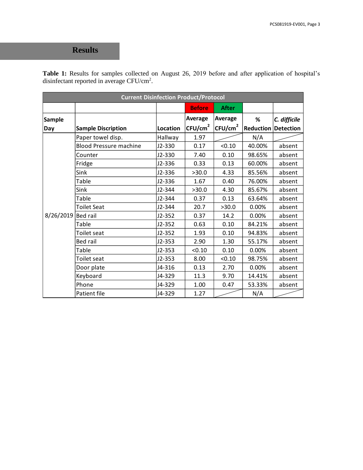## **Results**

**Table 1:** Results for samples collected on August 26, 2019 before and after application of hospital's disinfectant reported in average CFU/cm<sup>2</sup>.

|                    | <b>Current Disinfection Product/Protocol</b> |          |                     |                     |                            |              |  |
|--------------------|----------------------------------------------|----------|---------------------|---------------------|----------------------------|--------------|--|
|                    |                                              |          | <b>Before</b>       | <b>After</b>        |                            |              |  |
| Sample             |                                              |          | Average             | <b>Average</b>      | %                          | C. difficile |  |
| Day                | <b>Sample Discription</b>                    | Location | CFU/cm <sup>2</sup> | CFU/cm <sup>2</sup> | <b>Reduction Detection</b> |              |  |
|                    | Paper towel disp.                            | Hallway  | 1.97                |                     | N/A                        |              |  |
|                    | <b>Blood Pressure machine</b>                | J2-330   | 0.17                | < 0.10              | 40.00%                     | absent       |  |
|                    | Counter                                      | J2-330   | 7.40                | 0.10                | 98.65%                     | absent       |  |
|                    | Fridge                                       | J2-336   | 0.33                | 0.13                | 60.00%                     | absent       |  |
|                    | Sink                                         | J2-336   | >30.0               | 4.33                | 85.56%                     | absent       |  |
|                    | Table                                        | J2-336   | 1.67                | 0.40                | 76.00%                     | absent       |  |
|                    | Sink                                         | J2-344   | >30.0               | 4.30                | 85.67%                     | absent       |  |
|                    | Table                                        | J2-344   | 0.37                | 0.13                | 63.64%                     | absent       |  |
| 8/26/2019 Bed rail | <b>Toilet Seat</b>                           | J2-344   | 20.7                | >30.0               | 0.00%                      | absent       |  |
|                    |                                              | $J2-352$ | 0.37                | 14.2                | 0.00%                      | absent       |  |
|                    | Table                                        | $J2-352$ | 0.63                | 0.10                | 84.21%                     | absent       |  |
|                    | Toilet seat                                  | $J2-352$ | 1.93                | 0.10                | 94.83%                     | absent       |  |
|                    | <b>Bed rail</b>                              | $J2-353$ | 2.90                | 1.30                | 55.17%                     | absent       |  |
|                    | Table                                        | $J2-353$ | < 0.10              | 0.10                | 0.00%                      | absent       |  |
|                    | Toilet seat                                  | $J2-353$ | 8.00                | < 0.10              | 98.75%                     | absent       |  |
|                    | Door plate                                   | J4-316   | 0.13                | 2.70                | 0.00%                      | absent       |  |
|                    | Keyboard                                     | J4-329   | 11.3                | 9.70                | 14.41%                     | absent       |  |
|                    | Phone                                        | J4-329   | 1.00                | 0.47                | 53.33%                     | absent       |  |
|                    | Patient file                                 | J4-329   | 1.27                |                     | N/A                        |              |  |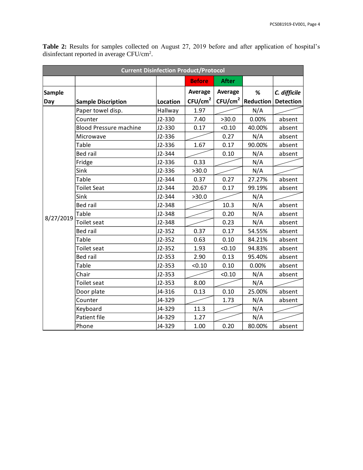| <b>Current Disinfection Product/Protocol</b> |                               |          |                     |                     |                  |                  |  |
|----------------------------------------------|-------------------------------|----------|---------------------|---------------------|------------------|------------------|--|
|                                              |                               |          | <b>Before</b>       | <b>After</b>        |                  |                  |  |
| <b>Sample</b>                                |                               |          | Average             | Average             | %                | C. difficile     |  |
| Day                                          | <b>Sample Discription</b>     | Location | CFU/cm <sup>2</sup> | CFU/cm <sup>2</sup> | <b>Reduction</b> | <b>Detection</b> |  |
|                                              | Paper towel disp.             | Hallway  | 1.97                |                     | N/A              |                  |  |
|                                              | Counter                       | J2-330   | 7.40                | >30.0               | 0.00%            | absent           |  |
|                                              | <b>Blood Pressure machine</b> | J2-330   | 0.17                | < 0.10              | 40.00%           | absent           |  |
|                                              | Microwave                     | J2-336   |                     | 0.27                | N/A              | absent           |  |
|                                              | Table                         | J2-336   | 1.67                | 0.17                | 90.00%           | absent           |  |
|                                              | <b>Bed rail</b>               | J2-344   |                     | 0.10                | N/A              | absent           |  |
|                                              | Fridge                        | J2-336   | 0.33                |                     | N/A              |                  |  |
|                                              | Sink                          | J2-336   | >30.0               |                     | N/A              |                  |  |
|                                              | Table                         | J2-344   | 0.37                | 0.27                | 27.27%           | absent           |  |
|                                              | <b>Toilet Seat</b>            | J2-344   | 20.67               | 0.17                | 99.19%           | absent           |  |
|                                              | Sink                          | J2-344   | >30.0               |                     | N/A              |                  |  |
|                                              | <b>Bed rail</b>               | J2-348   |                     | 10.3                | N/A              | absent           |  |
|                                              | Table                         | J2-348   |                     | 0.20                | N/A              | absent           |  |
| 8/27/2019                                    | <b>Toilet seat</b>            | J2-348   |                     | 0.23                | N/A              | absent           |  |
|                                              | <b>Bed rail</b>               | $J2-352$ | 0.37                | 0.17                | 54.55%           | absent           |  |
|                                              | Table                         | $J2-352$ | 0.63                | 0.10                | 84.21%           | absent           |  |
|                                              | Toilet seat                   | $J2-352$ | 1.93                | < 0.10              | 94.83%           | absent           |  |
|                                              | <b>Bed rail</b>               | $J2-353$ | 2.90                | 0.13                | 95.40%           | absent           |  |
|                                              | <b>Table</b>                  | $J2-353$ | < 0.10              | 0.10                | 0.00%            | absent           |  |
|                                              | Chair                         | $J2-353$ |                     | < 0.10              | N/A              | absent           |  |
|                                              | Toilet seat                   | $J2-353$ | 8.00                |                     | N/A              |                  |  |
|                                              | Door plate                    | J4-316   | 0.13                | 0.10                | 25.00%           | absent           |  |
|                                              | Counter                       | J4-329   |                     | 1.73                | N/A              | absent           |  |
|                                              | Keyboard                      | J4-329   | 11.3                |                     | N/A              |                  |  |
|                                              | <b>Patient file</b>           | J4-329   | 1.27                |                     | N/A              |                  |  |
|                                              | Phone                         | J4-329   | 1.00                | 0.20                | 80.00%           | absent           |  |

**Table 2:** Results for samples collected on August 27, 2019 before and after application of hospital's disinfectant reported in average  $CFU/cm^2$ .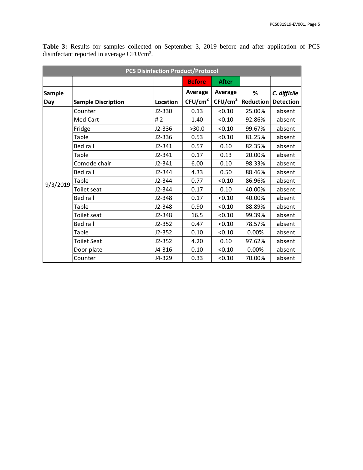| <b>PCS Disinfection Product/Protocol</b> |                           |          |                     |                     |                  |                  |  |
|------------------------------------------|---------------------------|----------|---------------------|---------------------|------------------|------------------|--|
|                                          |                           |          | <b>Before</b>       | <b>After</b>        |                  |                  |  |
| <b>Sample</b>                            |                           |          | Average             | Average             | %                | C. difficile     |  |
| Day                                      | <b>Sample Discription</b> | Location | CFU/cm <sup>2</sup> | CFU/cm <sup>2</sup> | <b>Reduction</b> | <b>Detection</b> |  |
|                                          | Counter                   | J2-330   | 0.13                | < 0.10              | 25.00%           | absent           |  |
|                                          | Med Cart                  | #2       | 1.40                | < 0.10              | 92.86%           | absent           |  |
|                                          | Fridge                    | J2-336   | >30.0               | < 0.10              | 99.67%           | absent           |  |
|                                          | Table                     | J2-336   | 0.53                | < 0.10              | 81.25%           | absent           |  |
|                                          | <b>Bed rail</b>           | $J2-341$ | 0.57                | 0.10                | 82.35%           | absent           |  |
| 9/3/2019                                 | Table                     | $J2-341$ | 0.17                | 0.13                | 20.00%           | absent           |  |
|                                          | Comode chair              | $J2-341$ | 6.00                | 0.10                | 98.33%           | absent           |  |
|                                          | Bed rail                  | J2-344   | 4.33                | 0.50                | 88.46%           | absent           |  |
|                                          | Table                     | J2-344   | 0.77                | < 0.10              | 86.96%           | absent           |  |
|                                          | Toilet seat               | $J2-344$ | 0.17                | 0.10                | 40.00%           | absent           |  |
|                                          | <b>Bed rail</b>           | J2-348   | 0.17                | < 0.10              | 40.00%           | absent           |  |
|                                          | <b>Table</b>              | J2-348   | 0.90                | < 0.10              | 88.89%           | absent           |  |
|                                          | Toilet seat               | J2-348   | 16.5                | < 0.10              | 99.39%           | absent           |  |
|                                          | <b>Bed rail</b>           | $J2-352$ | 0.47                | < 0.10              | 78.57%           | absent           |  |
|                                          | Table                     | $J2-352$ | 0.10                | < 0.10              | 0.00%            | absent           |  |
|                                          | <b>Toilet Seat</b>        | $J2-352$ | 4.20                | 0.10                | 97.62%           | absent           |  |
|                                          | Door plate                | J4-316   | 0.10                | < 0.10              | 0.00%            | absent           |  |
|                                          | Counter                   | J4-329   | 0.33                | < 0.10              | 70.00%           | absent           |  |

**Table 3:** Results for samples collected on September 3, 2019 before and after application of PCS disinfectant reported in average  $CFU/cm^2$ .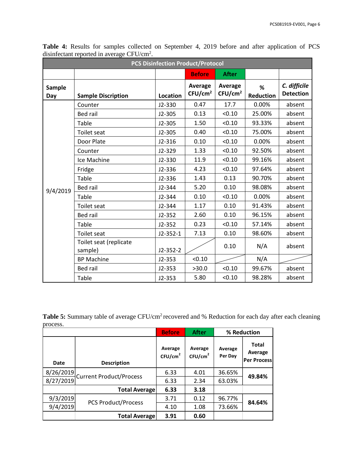| <b>PCS Disinfection Product/Protocol</b> |                                   |                 |                                |                                |                       |                                  |  |
|------------------------------------------|-----------------------------------|-----------------|--------------------------------|--------------------------------|-----------------------|----------------------------------|--|
|                                          |                                   |                 | <b>Before</b>                  | <b>After</b>                   |                       |                                  |  |
| <b>Sample</b><br>Day                     | <b>Sample Discription</b>         | <b>Location</b> | Average<br>CFU/cm <sup>2</sup> | Average<br>CFU/cm <sup>2</sup> | %<br><b>Reduction</b> | C. difficile<br><b>Detection</b> |  |
|                                          | Counter                           | J2-330          | 0.47                           | 17.7                           | 0.00%                 | absent                           |  |
|                                          | <b>Bed rail</b>                   | $J2 - 305$      | 0.13                           | < 0.10                         | 25.00%                | absent                           |  |
|                                          | Table                             | $J2 - 305$      | 1.50                           | < 0.10                         | 93.33%                | absent                           |  |
|                                          | <b>Toilet seat</b>                | $J2 - 305$      | 0.40                           | < 0.10                         | 75.00%                | absent                           |  |
|                                          | Door Plate                        | $J2-316$        | 0.10                           | < 0.10                         | 0.00%                 | absent                           |  |
|                                          | Counter                           | $J2-329$        | 1.33                           | < 0.10                         | 92.50%                | absent                           |  |
|                                          | Ice Machine                       | $J2 - 330$      | 11.9                           | < 0.10                         | 99.16%                | absent                           |  |
|                                          | Fridge                            | $J2-336$        | 4.23                           | < 0.10                         | 97.64%                | absent                           |  |
|                                          | Table                             | J2-336          | 1.43                           | 0.13                           | 90.70%                | absent                           |  |
| 9/4/2019                                 | Bed rail                          | J2-344          | 5.20                           | 0.10                           | 98.08%                | absent                           |  |
|                                          | Table                             | J2-344          | 0.10                           | < 0.10                         | 0.00%                 | absent                           |  |
|                                          | <b>Toilet seat</b>                | J2-344          | 1.17                           | 0.10                           | 91.43%                | absent                           |  |
|                                          | <b>Bed rail</b>                   | $J2-352$        | 2.60                           | 0.10                           | 96.15%                | absent                           |  |
|                                          | Table                             | $J2-352$        | 0.23                           | < 0.10                         | 57.14%                | absent                           |  |
|                                          | <b>Toilet seat</b>                | $J2-352-1$      | 7.13                           | 0.10                           | 98.60%                | absent                           |  |
|                                          | Toilet seat (replicate<br>sample) | $J2-352-2$      |                                | 0.10                           | N/A                   | absent                           |  |
|                                          | <b>BP Machine</b>                 | $J2-353$        | < 0.10                         |                                | N/A                   |                                  |  |
|                                          | Bed rail                          | $J2 - 353$      | >30.0                          | < 0.10                         | 99.67%                | absent                           |  |
|                                          | Table                             | $J2-353$        | 5.80                           | < 0.10                         | 98.28%                | absent                           |  |

**Table 4:** Results for samples collected on September 4, 2019 before and after application of PCS disinfectant reported in average  $CFU/cm^2$ .

Table 5: Summary table of average CFU/cm<sup>2</sup> recovered and % Reduction for each day after each cleaning process.

|           |                            | <b>Before</b>                  | <b>After</b>                   | % Reduction        |                                               |
|-----------|----------------------------|--------------------------------|--------------------------------|--------------------|-----------------------------------------------|
| Date      | <b>Description</b>         | Average<br>CFU/cm <sup>2</sup> | Average<br>CFU/cm <sup>2</sup> | Average<br>Per Day | <b>Total</b><br>Average<br><b>Per Process</b> |
| 8/26/2019 | Current Product/Process    | 6.33                           | 4.01                           | 36.65%             | 49.84%                                        |
| 8/27/2019 |                            | 6.33                           | 2.34                           | 63.03%             |                                               |
|           | <b>Total Average</b>       | 6.33                           | 3.18                           |                    |                                               |
| 9/3/2019  |                            | 3.71                           | 0.12                           | 96.77%             |                                               |
| 9/4/2019  | <b>PCS Product/Process</b> | 4.10                           | 1.08                           | 73.66%             | 84.64%                                        |
|           | <b>Total Average</b>       | 3.91                           | 0.60                           |                    |                                               |